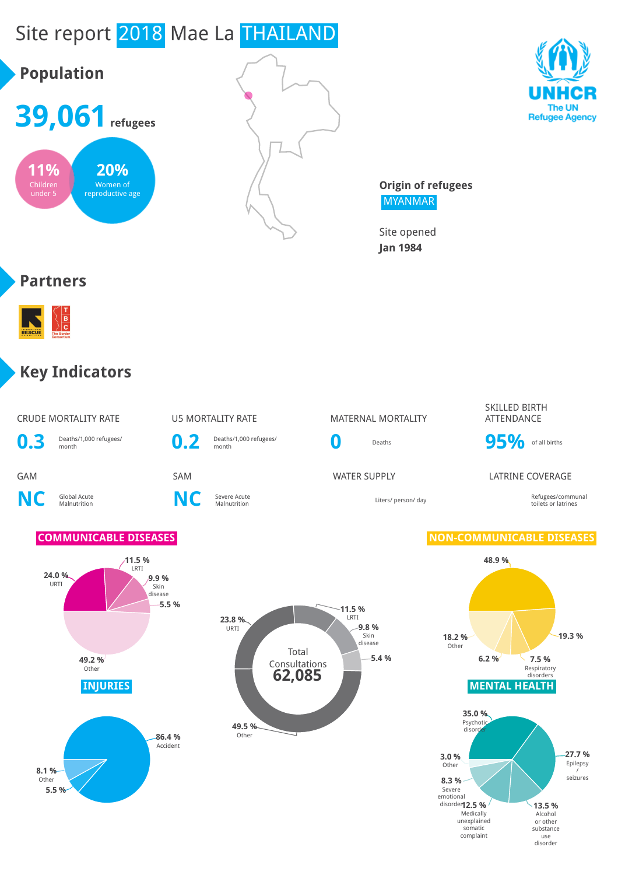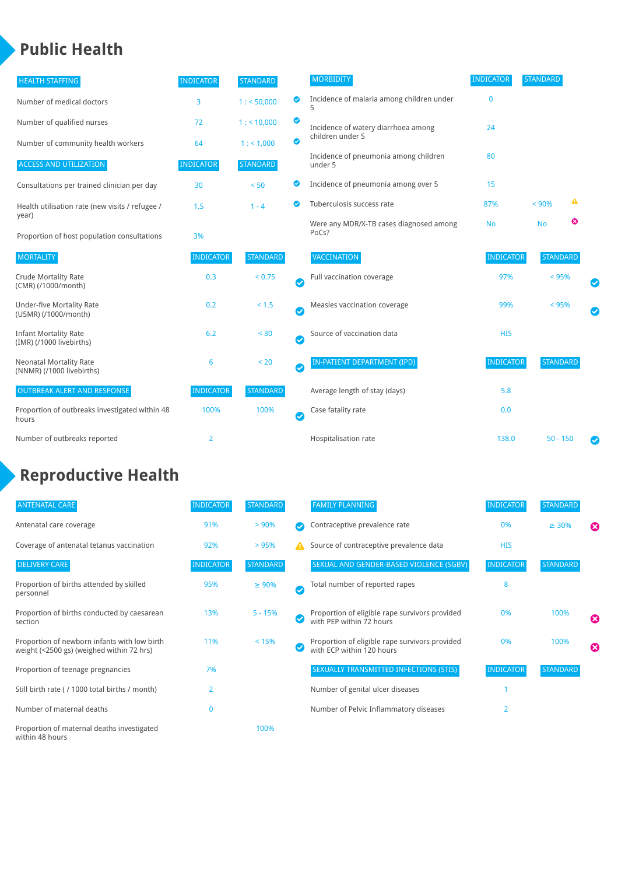### **Public Health**

| <b>HEALTH STAFFING</b>                                      | <b>INDICATOR</b> | <b>STANDARD</b> |           | <b>MORBIDITY</b>                                 | <b>INDICATOR</b> | <b>STANDARD</b> |   |   |
|-------------------------------------------------------------|------------------|-----------------|-----------|--------------------------------------------------|------------------|-----------------|---|---|
| Number of medical doctors                                   | 3                | 1: 50,000       | ◉         | Incidence of malaria among children under<br>5   | $\mathbf{0}$     |                 |   |   |
| Number of qualified nurses                                  | 72               | 1:10,000        | ◙         | Incidence of watery diarrhoea among              | 24               |                 |   |   |
| Number of community health workers                          | 64               | 1: 1,000        | ◙         | children under 5                                 |                  |                 |   |   |
| <b>ACCESS AND UTILIZATION</b>                               | <b>INDICATOR</b> | <b>STANDARD</b> |           | Incidence of pneumonia among children<br>under 5 | 80               |                 |   |   |
| Consultations per trained clinician per day                 | 30               | < 50            | ◙         | Incidence of pneumonia among over 5              | 15               |                 |   |   |
| Health utilisation rate (new visits / refugee /<br>year)    | 1.5              | $1 - 4$         | Ø         | Tuberculosis success rate                        | 87%              | < 90%           | ▲ |   |
| Proportion of host population consultations                 | 3%               |                 |           | Were any MDR/X-TB cases diagnosed among<br>PoCs? | <b>No</b>        | <b>No</b>       | ☺ |   |
| <b>MORTALITY</b>                                            | <b>INDICATOR</b> | <b>STANDARD</b> |           | <b>VACCINATION</b>                               | <b>INDICATOR</b> | <b>STANDARD</b> |   |   |
| <b>Crude Mortality Rate</b><br>(CMR) (/1000/month)          | 0.3              | < 0.75          | $\bullet$ | Full vaccination coverage                        | 97%              | < 95%           |   |   |
| <b>Under-five Mortality Rate</b><br>(U5MR) (/1000/month)    | 0.2              | < 1.5           | Ø         | Measles vaccination coverage                     | 99%              | < 95%           |   | Ø |
| <b>Infant Mortality Rate</b><br>(IMR) (/1000 livebirths)    | 6.2              | < 30            | Ø         | Source of vaccination data                       | <b>HIS</b>       |                 |   |   |
| <b>Neonatal Mortality Rate</b><br>(NNMR) (/1000 livebirths) | 6                | < 20            | $\bullet$ | <b>IN-PATIENT DEPARTMENT (IPD)</b>               | <b>INDICATOR</b> | <b>STANDARD</b> |   |   |
| <b>OUTBREAK ALERT AND RESPONSE</b>                          | <b>INDICATOR</b> | <b>STANDARD</b> |           | Average length of stay (days)                    | 5.8              |                 |   |   |
| Proportion of outbreaks investigated within 48<br>hours     | 100%             | 100%            | Ø         | Case fatality rate                               | 0.0              |                 |   |   |
| Number of outbreaks reported                                | 2                |                 |           | Hospitalisation rate                             | 138.0            | $50 - 150$      |   | Ø |

# **Reproductive Health**

| <b>ANTENATAL CARE</b>                                                                     | <b>INDICATOR</b> | <b>STANDARD</b> |              | <b>FAMILY PLANNING</b>                                                      | <b>INDICATOR</b> | <b>STANDARD</b> |                       |
|-------------------------------------------------------------------------------------------|------------------|-----------------|--------------|-----------------------------------------------------------------------------|------------------|-----------------|-----------------------|
| Antenatal care coverage                                                                   | 91%              | > 90%           |              | Contraceptive prevalence rate                                               | 0%               | $\geq 30\%$     | ⊠                     |
| Coverage of antenatal tetanus vaccination                                                 | 92%              | >95%            | А            | Source of contraceptive prevalence data                                     | <b>HIS</b>       |                 |                       |
| <b>DELIVERY CARE</b>                                                                      | <b>INDICATOR</b> | <b>STANDARD</b> |              | SEXUAL AND GENDER-BASED VIOLENCE (SGBV)                                     | <b>INDICATOR</b> | <b>STANDARD</b> |                       |
| Proportion of births attended by skilled<br>personnel                                     | 95%              | $\geq 90\%$     | $\checkmark$ | Total number of reported rapes                                              | 8                |                 |                       |
| Proportion of births conducted by caesarean<br>section                                    | 13%              | $5 - 15%$       |              | Proportion of eligible rape survivors provided<br>with PEP within 72 hours  | 0%               | 100%            | $\boldsymbol{\omega}$ |
| Proportion of newborn infants with low birth<br>weight (<2500 gs) (weighed within 72 hrs) | 11%              | < 15%           |              | Proportion of eligible rape survivors provided<br>with ECP within 120 hours | 0%               | 100%            | $\boldsymbol{\Omega}$ |
| Proportion of teenage pregnancies                                                         | 7%               |                 |              | SEXUALLY TRANSMITTED INFECTIONS (STIS)                                      | <b>INDICATOR</b> | <b>STANDARD</b> |                       |
| Still birth rate (/ 1000 total births / month)                                            | 2                |                 |              | Number of genital ulcer diseases                                            |                  |                 |                       |
| Number of maternal deaths                                                                 |                  |                 |              | Number of Pelvic Inflammatory diseases                                      | $\overline{2}$   |                 |                       |
| Proportion of maternal deaths investigated<br>within 48 hours                             |                  | 100%            |              |                                                                             |                  |                 |                       |